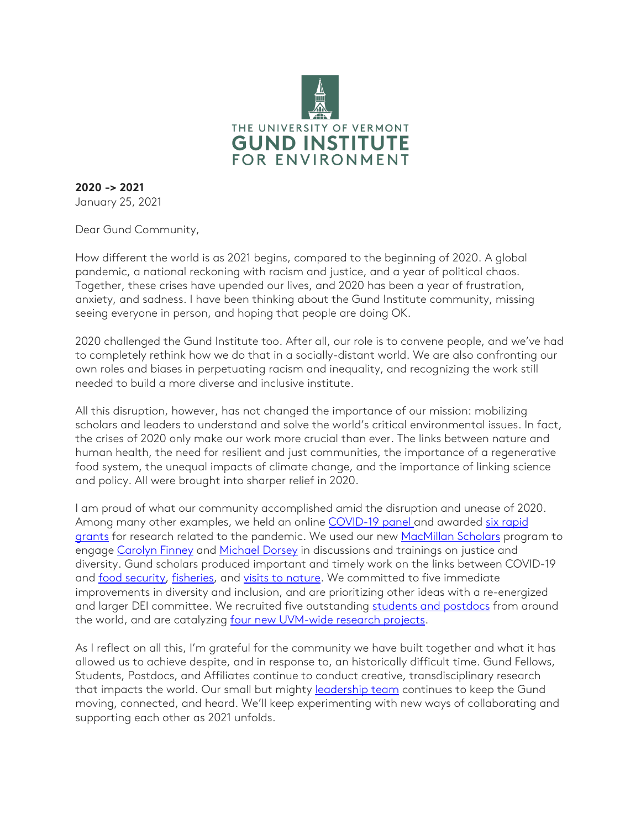

**2020 -> 2021** January 25, 2021

Dear Gund Community,

How different the world is as 2021 begins, compared to the beginning of 2020. A global pandemic, a national reckoning with racism and justice, and a year of political chaos. Together, these crises have upended our lives, and 2020 has been a year of frustration, anxiety, and sadness. I have been thinking about the Gund Institute community, missing seeing everyone in person, and hoping that people are doing OK.

2020 challenged the Gund Institute too. After all, our role is to convene people, and we've had to completely rethink how we do that in a socially-distant world. We are also confronting our own roles and biases in perpetuating racism and inequality, and recognizing the work still needed to build a more diverse and inclusive institute.

All this disruption, however, has not changed the importance of our mission: mobilizing scholars and leaders to understand and solve the world's critical environmental issues. In fact, the crises of 2020 only make our work more crucial than ever. The links between nature and human health, the need for resilient and just communities, the importance of a regenerative food system, the unequal impacts of climate change, and the importance of linking science and policy. All were brought into sharper relief in 2020.

I am proud of what our community accomplished amid the disruption and unease of 2020. Among many other examples, we held an online [COVID-19 panel](https://youtu.be/Ray_-leDESE) and awarded six rapid [grants](https://www.uvm.edu/gund/news/gund-supports-six-covid-19-research-projects) for research related to the pandemic. We used our new [MacMillan Scholars](https://www.uvm.edu/gund/visiting-scholars) program to engage [Carolyn Finney](http://www.middlebury.edu/academics/es/faculty/node/642287) and [Michael Dorsey](https://youtu.be/iO4D7jCF6Xg) in discussions and trainings on justice and diversity. Gund scholars produced important and timely work on the links between COVID-19 and [food security,](https://www.uvm.edu/gund/news/covid-19-food-insecurity-hits-record-levels-vermont) [fisheries,](https://www.uvm.edu/gund/news/us-seafood-industry-flounders-due-covid-19) and [visits to nature.](https://www.uvm.edu/rsenr/news/new-nature-lover-its-covid-19-side-effect) We committed to five immediate improvements in diversity and inclusion, and are prioritizing other ideas with a re-energized and larger DEI committee. We recruited five outstanding [students and postdocs](https://www.uvm.edu/gund/news/gund-announces-2020-fellowship-recipients) from around the world, and are catalyzing [four new UVM-wide research projects.](http://go.uvm.edu/v70ky)

As I reflect on all this, I'm grateful for the community we have built together and what it has allowed us to achieve despite, and in response to, an historically difficult time. Gund Fellows, Students, Postdocs, and Affiliates continue to conduct creative, transdisciplinary research that impacts the world. Our small but mighty **[leadership team](https://www.uvm.edu/gund/leadership-team)** continues to keep the Gund moving, connected, and heard. We'll keep experimenting with new ways of collaborating and supporting each other as 2021 unfolds.